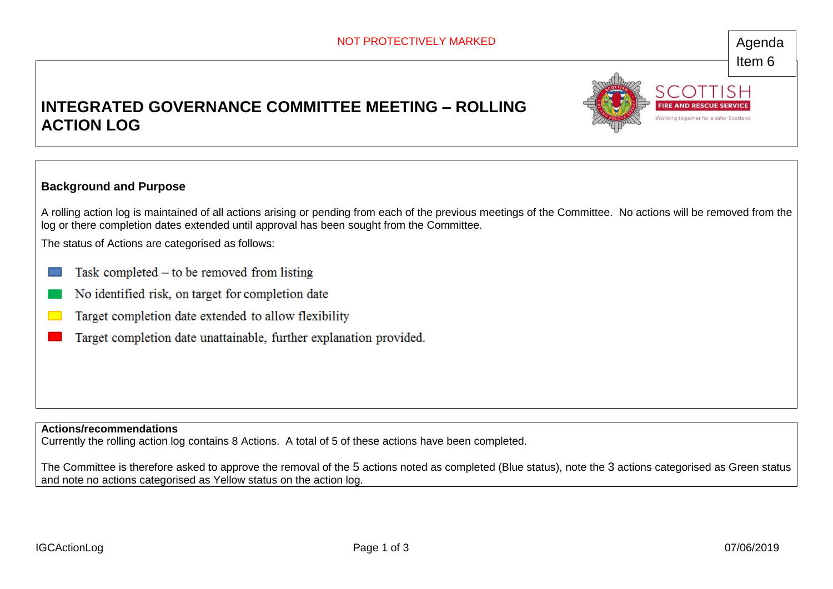## Item 6

**IRE AND RESCUE SER** Working together for a safer Scotland

## **INTEGRATED GOVERNANCE COMMITTEE MEETING – ROLLING ACTION LOG**



A rolling action log is maintained of all actions arising or pending from each of the previous meetings of the Committee. No actions will be removed from the log or there completion dates extended until approval has been sought from the Committee.

The status of Actions are categorised as follows:

- Task completed  $-$  to be removed from listing
- No identified risk, on target for completion date
- Target completion date extended to allow flexibility
- Target completion date unattainable, further explanation provided.

**Actions/recommendations**

Currently the rolling action log contains 8 Actions. A total of 5 of these actions have been completed.

The Committee is therefore asked to approve the removal of the 5 actions noted as completed (Blue status), note the 3 actions categorised as Green status and note no actions categorised as Yellow status on the action log.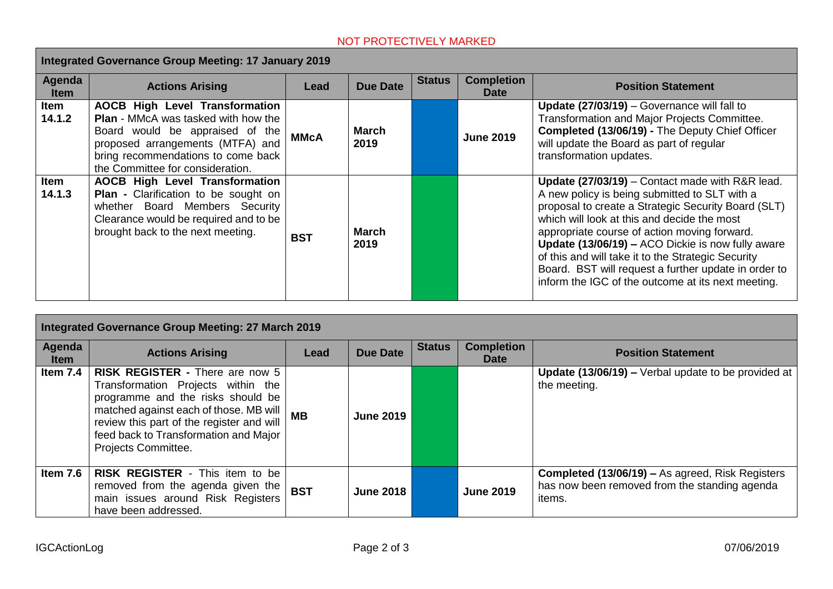## NOT PROTECTIVELY MARKED

| Integrated Governance Group Meeting: 17 January 2019 |                                                                                                                                                                                                                                      |             |                 |               |                                  |                                                                                                                                                                                                                                                                                                                                                                                                                                                                                 |  |
|------------------------------------------------------|--------------------------------------------------------------------------------------------------------------------------------------------------------------------------------------------------------------------------------------|-------------|-----------------|---------------|----------------------------------|---------------------------------------------------------------------------------------------------------------------------------------------------------------------------------------------------------------------------------------------------------------------------------------------------------------------------------------------------------------------------------------------------------------------------------------------------------------------------------|--|
| Agenda<br><b>Item</b>                                | <b>Actions Arising</b>                                                                                                                                                                                                               | Lead        | <b>Due Date</b> | <b>Status</b> | <b>Completion</b><br><b>Date</b> | <b>Position Statement</b>                                                                                                                                                                                                                                                                                                                                                                                                                                                       |  |
| <b>Item</b><br>14.1.2                                | <b>AOCB High Level Transformation</b><br><b>Plan</b> - MMcA was tasked with how the<br>Board would be appraised of the<br>proposed arrangements (MTFA) and<br>bring recommendations to come back<br>the Committee for consideration. | <b>MMcA</b> | March<br>2019   |               | <b>June 2019</b>                 | Update (27/03/19) - Governance will fall to<br>Transformation and Major Projects Committee.<br>Completed (13/06/19) - The Deputy Chief Officer<br>will update the Board as part of regular<br>transformation updates.                                                                                                                                                                                                                                                           |  |
| <b>Item</b><br>14.1.3                                | <b>AOCB High Level Transformation</b><br><b>Plan - Clarification to be sought on</b><br>whether Board Members Security<br>Clearance would be required and to be<br>brought back to the next meeting.                                 | <b>BST</b>  | March<br>2019   |               |                                  | Update (27/03/19) - Contact made with R&R lead.<br>A new policy is being submitted to SLT with a<br>proposal to create a Strategic Security Board (SLT)<br>which will look at this and decide the most<br>appropriate course of action moving forward.<br>Update (13/06/19) - ACO Dickie is now fully aware<br>of this and will take it to the Strategic Security<br>Board. BST will request a further update in order to<br>inform the IGC of the outcome at its next meeting. |  |

| Integrated Governance Group Meeting: 27 March 2019 |                                                                                                                                                                                                                                                                          |            |                  |               |                                  |                                                                                                                    |  |
|----------------------------------------------------|--------------------------------------------------------------------------------------------------------------------------------------------------------------------------------------------------------------------------------------------------------------------------|------------|------------------|---------------|----------------------------------|--------------------------------------------------------------------------------------------------------------------|--|
| Agenda<br><b>Item</b>                              | <b>Actions Arising</b>                                                                                                                                                                                                                                                   | Lead       | <b>Due Date</b>  | <b>Status</b> | <b>Completion</b><br><b>Date</b> | <b>Position Statement</b>                                                                                          |  |
| Item 7.4                                           | <b>RISK REGISTER - There are now 5</b><br>Transformation Projects within the<br>programme and the risks should be<br>matched against each of those. MB will<br>review this part of the register and will<br>feed back to Transformation and Major<br>Projects Committee. | <b>MB</b>  | <b>June 2019</b> |               |                                  | <b>Update (13/06/19) –</b> Verbal update to be provided at<br>the meeting.                                         |  |
| Item $7.6$                                         | <b>RISK REGISTER - This item to be</b><br>removed from the agenda given the<br>main issues around Risk Registers<br>have been addressed.                                                                                                                                 | <b>BST</b> | <b>June 2018</b> |               | <b>June 2019</b>                 | Completed (13/06/19) - As agreed, Risk Registers<br>has now been removed from the standing agenda<br><i>items.</i> |  |